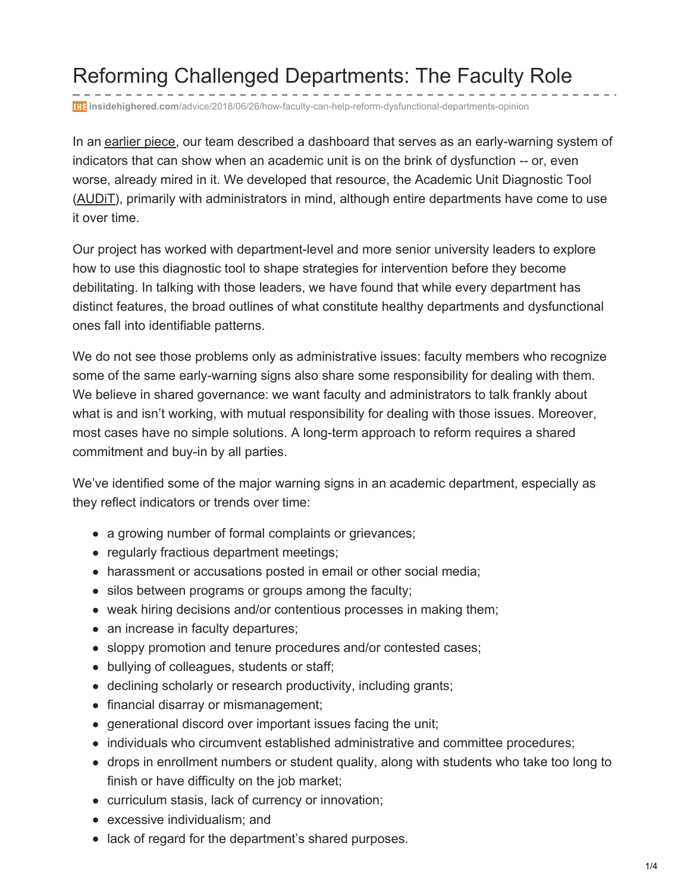## Reforming Challenged Departments: The Faculty Role

**insidehighered.com**[/advice/2018/06/26/how-faculty-can-help-reform-dysfunctional-departments-opinion](https://www.insidehighered.com/advice/2018/06/26/how-faculty-can-help-reform-dysfunctional-departments-opinion?utm_source=Academica+Top+Ten&utm_campaign=4d32a92f9c-EMAIL_CAMPAIGN_2018_07_04_04_58&utm_medium=email&utm_term=0_b4928536cf-4d32a92f9c-47774737)

In an [earlier](https://www.insidehighered.com/advice/2018/02/28/tool-diagnosing-professional-culture-academic-units-opinion) piece, our team described a dashboard that serves as an early-warning system of indicators that can show when an academic unit is on the brink of dysfunction -- or, even worse, already mired in it. We developed that resource, the Academic Unit Diagnostic Tool [\(AUDiT](http://ethicscenter.csl.illinois.edu/files/2018/02/AUDiT-dashboard.pdf)), primarily with administrators in mind, although entire departments have come to use it over time.

Our project has worked with department-level and more senior university leaders to explore how to use this diagnostic tool to shape strategies for intervention before they become debilitating. In talking with those leaders, we have found that while every department has distinct features, the broad outlines of what constitute healthy departments and dysfunctional ones fall into identifiable patterns.

We do not see those problems only as administrative issues: faculty members who recognize some of the same early-warning signs also share some responsibility for dealing with them. We believe in shared governance: we want faculty and administrators to talk frankly about what is and isn't working, with mutual responsibility for dealing with those issues. Moreover, most cases have no simple solutions. A long-term approach to reform requires a shared commitment and buy-in by all parties.

We've identified some of the major warning signs in an academic department, especially as they reflect indicators or trends over time:

- a growing number of formal complaints or grievances;
- regularly fractious department meetings;
- harassment or accusations posted in email or other social media;
- silos between programs or groups among the faculty;
- weak hiring decisions and/or contentious processes in making them;
- an increase in faculty departures;
- sloppy promotion and tenure procedures and/or contested cases;
- bullying of colleagues, students or staff;
- declining scholarly or research productivity, including grants;
- financial disarray or mismanagement;
- generational discord over important issues facing the unit;
- individuals who circumvent established administrative and committee procedures;
- drops in enrollment numbers or student quality, along with students who take too long to finish or have difficulty on the job market;
- curriculum stasis, lack of currency or innovation;
- excessive individualism; and
- lack of regard for the department's shared purposes.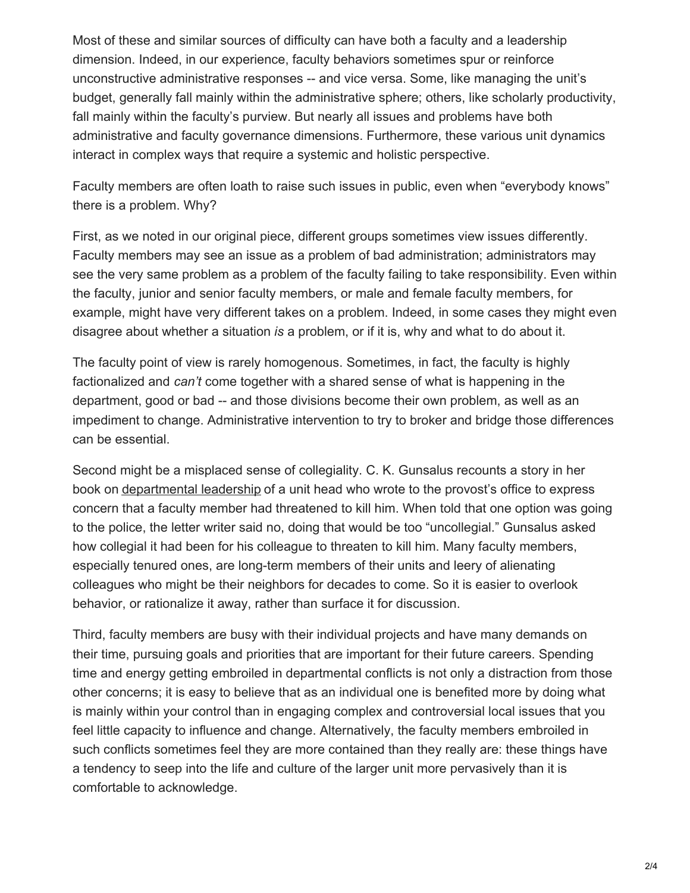Most of these and similar sources of difficulty can have both a faculty and a leadership dimension. Indeed, in our experience, faculty behaviors sometimes spur or reinforce unconstructive administrative responses -- and vice versa. Some, like managing the unit's budget, generally fall mainly within the administrative sphere; others, like scholarly productivity, fall mainly within the faculty's purview. But nearly all issues and problems have both administrative and faculty governance dimensions. Furthermore, these various unit dynamics interact in complex ways that require a systemic and holistic perspective.

Faculty members are often loath to raise such issues in public, even when "everybody knows" there is a problem. Why?

First, as we noted in our original piece, different groups sometimes view issues differently. Faculty members may see an issue as a problem of bad administration; administrators may see the very same problem as a problem of the faculty failing to take responsibility. Even within the faculty, junior and senior faculty members, or male and female faculty members, for example, might have very different takes on a problem. Indeed, in some cases they might even disagree about whether a situation *is* a problem, or if it is, why and what to do about it.

The faculty point of view is rarely homogenous. Sometimes, in fact, the faculty is highly factionalized and *can't* come together with a shared sense of what is happening in the department, good or bad -- and those divisions become their own problem, as well as an impediment to change. Administrative intervention to try to broker and bridge those differences can be essential.

Second might be a misplaced sense of collegiality. C. K. Gunsalus recounts a story in her book on [departmental](http://www.hup.harvard.edu/catalog.php?isbn=9780674023154) leadership of a unit head who wrote to the provost's office to express concern that a faculty member had threatened to kill him. When told that one option was going to the police, the letter writer said no, doing that would be too "uncollegial." Gunsalus asked how collegial it had been for his colleague to threaten to kill him. Many faculty members, especially tenured ones, are long-term members of their units and leery of alienating colleagues who might be their neighbors for decades to come. So it is easier to overlook behavior, or rationalize it away, rather than surface it for discussion.

Third, faculty members are busy with their individual projects and have many demands on their time, pursuing goals and priorities that are important for their future careers. Spending time and energy getting embroiled in departmental conflicts is not only a distraction from those other concerns; it is easy to believe that as an individual one is benefited more by doing what is mainly within your control than in engaging complex and controversial local issues that you feel little capacity to influence and change. Alternatively, the faculty members embroiled in such conflicts sometimes feel they are more contained than they really are: these things have a tendency to seep into the life and culture of the larger unit more pervasively than it is comfortable to acknowledge.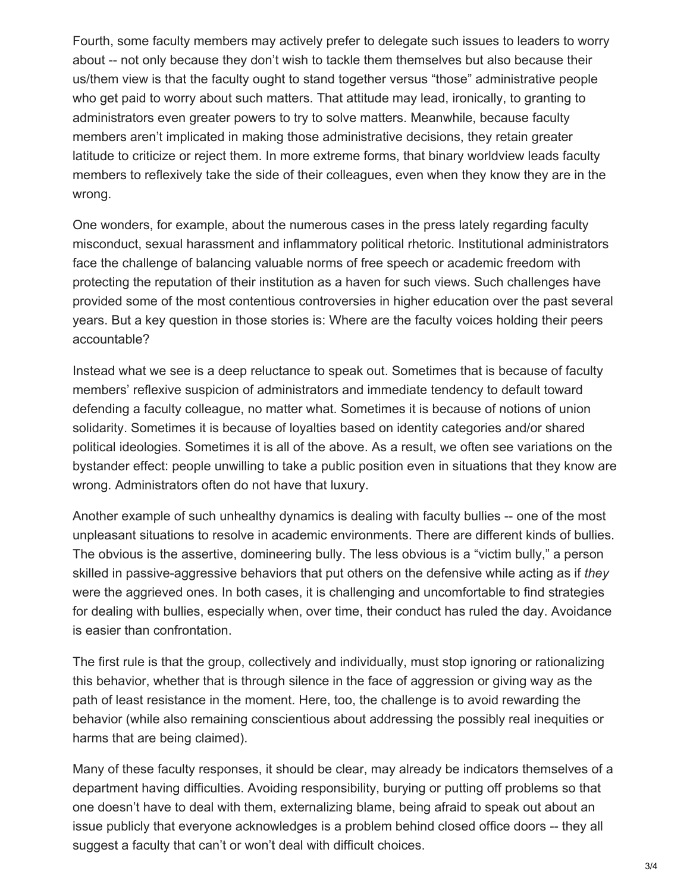Fourth, some faculty members may actively prefer to delegate such issues to leaders to worry about -- not only because they don't wish to tackle them themselves but also because their us/them view is that the faculty ought to stand together versus "those" administrative people who get paid to worry about such matters. That attitude may lead, ironically, to granting to administrators even greater powers to try to solve matters. Meanwhile, because faculty members aren't implicated in making those administrative decisions, they retain greater latitude to criticize or reject them. In more extreme forms, that binary worldview leads faculty members to reflexively take the side of their colleagues, even when they know they are in the wrong.

One wonders, for example, about the numerous cases in the press lately regarding faculty misconduct, sexual harassment and inflammatory political rhetoric. Institutional administrators face the challenge of balancing valuable norms of free speech or academic freedom with protecting the reputation of their institution as a haven for such views. Such challenges have provided some of the most contentious controversies in higher education over the past several years. But a key question in those stories is: Where are the faculty voices holding their peers accountable?

Instead what we see is a deep reluctance to speak out. Sometimes that is because of faculty members' reflexive suspicion of administrators and immediate tendency to default toward defending a faculty colleague, no matter what. Sometimes it is because of notions of union solidarity. Sometimes it is because of loyalties based on identity categories and/or shared political ideologies. Sometimes it is all of the above. As a result, we often see variations on the bystander effect: people unwilling to take a public position even in situations that they know are wrong. Administrators often do not have that luxury.

Another example of such unhealthy dynamics is dealing with faculty bullies -- one of the most unpleasant situations to resolve in academic environments. There are different kinds of bullies. The obvious is the assertive, domineering bully. The less obvious is a "victim bully," a person skilled in passive-aggressive behaviors that put others on the defensive while acting as if *they* were the aggrieved ones. In both cases, it is challenging and uncomfortable to find strategies for dealing with bullies, especially when, over time, their conduct has ruled the day. Avoidance is easier than confrontation.

The first rule is that the group, collectively and individually, must stop ignoring or rationalizing this behavior, whether that is through silence in the face of aggression or giving way as the path of least resistance in the moment. Here, too, the challenge is to avoid rewarding the behavior (while also remaining conscientious about addressing the possibly real inequities or harms that are being claimed).

Many of these faculty responses, it should be clear, may already be indicators themselves of a department having difficulties. Avoiding responsibility, burying or putting off problems so that one doesn't have to deal with them, externalizing blame, being afraid to speak out about an issue publicly that everyone acknowledges is a problem behind closed office doors -- they all suggest a faculty that can't or won't deal with difficult choices.